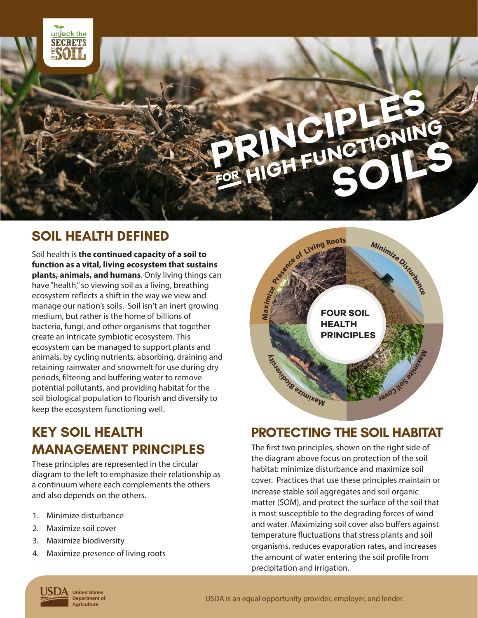

## **SOIL HEALTH DEFINED**

Soil health is **the continued capacity of a soil to function as a vital, living ecosystem that sustains plants, animals, and humans**. Only living things can have "health," so viewing soil as a living, breathing ecosystem reflects a shift in the way we view and manage our nation's soils. Soil isn't an inert growing medium, but rather is the home of billions of bacteria, fungi, and other organisms that together create an intricate symbiotic ecosystem. This ecosystem can be managed to support plants and animals, by cycling nutrients, absorbing, draining and retaining rainwater and snowmelt for use during dry periods, filtering and buffering water to remove potential pollutants, and providing habitat for the soil biological population to flourish and diversify to keep the ecosystem functioning well.

### **FOUR SOIL HEALTH PRINCIPLES ≥**ে **a ximize Presence of <sup>g</sup> <sup>R</sup><sup>o</sup> ts <sup>M</sup>inimiz<sup>e</sup> <sup>D</sup><sup>i</sup>stu<sup>r</sup>banc<sup>e</sup> Max i**<br>**z**<br>**i e**<br>*l* **<b>***e*<br>**i e**<br>**i e <sup>a</sup> M <sup>m</sup><sup>i</sup> <sup>x</sup> <sup>z</sup><sup>i</sup> <sup>e</sup> <sup>B</sup> <sup>o</sup><sup>i</sup> <sup>d</sup> <sup>v</sup><sup>i</sup> F125.3 Living Roo**

# **KEY SOIL HEALTH MANAGEMENT PRINCIPLES**

These principles are represented in the circular diagram to the left to emphasize their relationship as a continuum where each complements the others and also depends on the others.

- 1. Minimize disturbance
- 2. Maximize soil cover
- 3. Maximize biodiversity
- 4. Maximize presence of living roots

### **PROTECTING THE SOIL HABITAT**

The first two principles, shown on the right side of the diagram above focus on protection of the soil habitat: minimize disturbance and maximize soil cover. Practices that use these principles maintain or increase stable soil aggregates and soil organic matter (SOM), and protect the surface of the soil that is most susceptible to the degrading forces of wind and water. Maximizing soil cover also buffers against temperature fluctuations that stress plants and soil organisms, reduces evaporation rates, and increases the amount of water entering the soil profile from precipitation and irrigation.